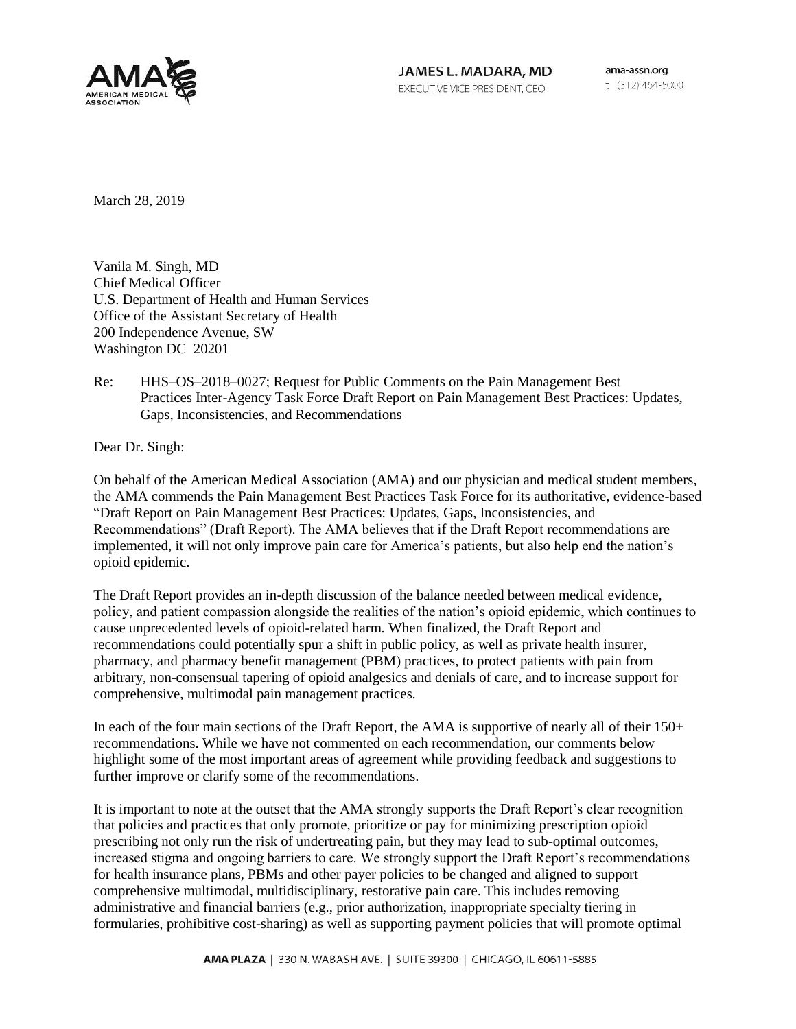

JAMES L. MADARA, MD EXECUTIVE VICE PRESIDENT, CEO

ama-assn.org t (312) 464-5000

March 28, 2019

Vanila M. Singh, MD Chief Medical Officer U.S. Department of Health and Human Services Office of the Assistant Secretary of Health 200 Independence Avenue, SW Washington DC 20201

Re: HHS–OS–2018–0027; Request for Public Comments on the Pain Management Best Practices Inter-Agency Task Force Draft Report on Pain Management Best Practices: Updates, Gaps, Inconsistencies, and Recommendations

Dear Dr. Singh:

On behalf of the American Medical Association (AMA) and our physician and medical student members, the AMA commends the Pain Management Best Practices Task Force for its authoritative, evidence-based "Draft Report on Pain Management Best Practices: Updates, Gaps, Inconsistencies, and Recommendations" (Draft Report). The AMA believes that if the Draft Report recommendations are implemented, it will not only improve pain care for America's patients, but also help end the nation's opioid epidemic.

The Draft Report provides an in-depth discussion of the balance needed between medical evidence, policy, and patient compassion alongside the realities of the nation's opioid epidemic, which continues to cause unprecedented levels of opioid-related harm. When finalized, the Draft Report and recommendations could potentially spur a shift in public policy, as well as private health insurer, pharmacy, and pharmacy benefit management (PBM) practices, to protect patients with pain from arbitrary, non-consensual tapering of opioid analgesics and denials of care, and to increase support for comprehensive, multimodal pain management practices.

In each of the four main sections of the Draft Report, the AMA is supportive of nearly all of their 150+ recommendations. While we have not commented on each recommendation, our comments below highlight some of the most important areas of agreement while providing feedback and suggestions to further improve or clarify some of the recommendations.

It is important to note at the outset that the AMA strongly supports the Draft Report's clear recognition that policies and practices that only promote, prioritize or pay for minimizing prescription opioid prescribing not only run the risk of undertreating pain, but they may lead to sub-optimal outcomes, increased stigma and ongoing barriers to care. We strongly support the Draft Report's recommendations for health insurance plans, PBMs and other payer policies to be changed and aligned to support comprehensive multimodal, multidisciplinary, restorative pain care. This includes removing administrative and financial barriers (e.g., prior authorization, inappropriate specialty tiering in formularies, prohibitive cost-sharing) as well as supporting payment policies that will promote optimal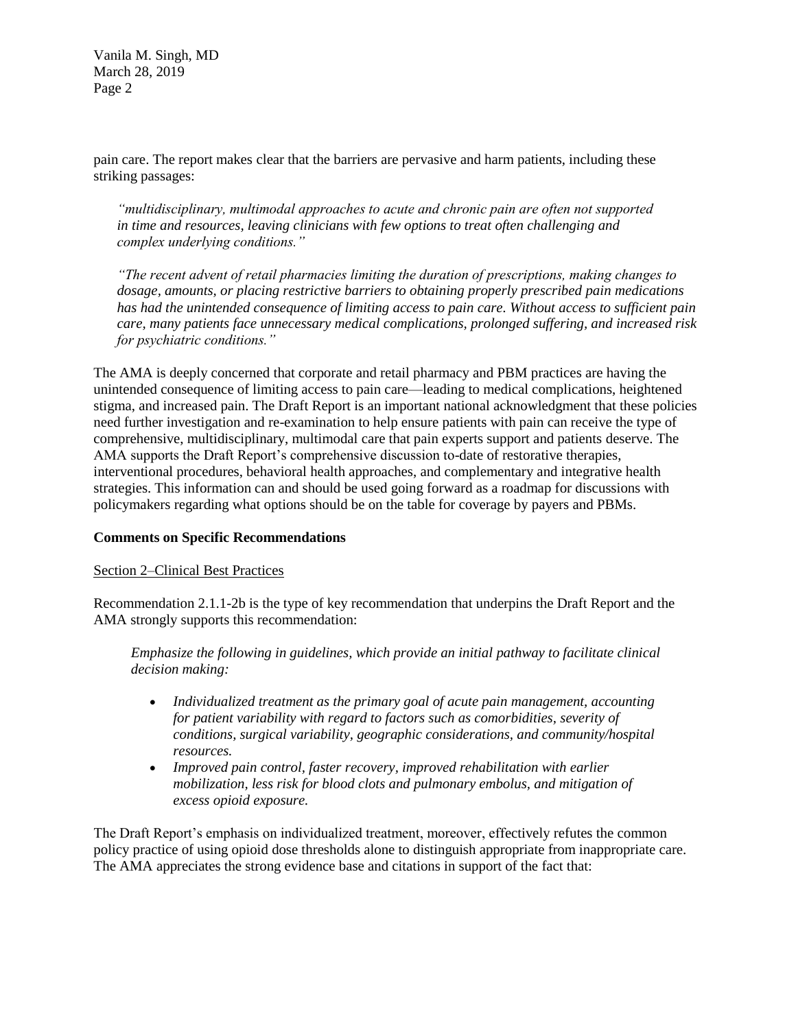pain care. The report makes clear that the barriers are pervasive and harm patients, including these striking passages:

*"multidisciplinary, multimodal approaches to acute and chronic pain are often not supported in time and resources, leaving clinicians with few options to treat often challenging and complex underlying conditions."*

*"The recent advent of retail pharmacies limiting the duration of prescriptions, making changes to dosage, amounts, or placing restrictive barriers to obtaining properly prescribed pain medications has had the unintended consequence of limiting access to pain care. Without access to sufficient pain care, many patients face unnecessary medical complications, prolonged suffering, and increased risk for psychiatric conditions."*

The AMA is deeply concerned that corporate and retail pharmacy and PBM practices are having the unintended consequence of limiting access to pain care—leading to medical complications, heightened stigma, and increased pain. The Draft Report is an important national acknowledgment that these policies need further investigation and re-examination to help ensure patients with pain can receive the type of comprehensive, multidisciplinary, multimodal care that pain experts support and patients deserve. The AMA supports the Draft Report's comprehensive discussion to-date of restorative therapies, interventional procedures, behavioral health approaches, and complementary and integrative health strategies. This information can and should be used going forward as a roadmap for discussions with policymakers regarding what options should be on the table for coverage by payers and PBMs.

# **Comments on Specific Recommendations**

#### Section 2–Clinical Best Practices

Recommendation 2.1.1-2b is the type of key recommendation that underpins the Draft Report and the AMA strongly supports this recommendation:

*Emphasize the following in guidelines, which provide an initial pathway to facilitate clinical decision making:*

- *Individualized treatment as the primary goal of acute pain management, accounting for patient variability with regard to factors such as comorbidities, severity of conditions, surgical variability, geographic considerations, and community/hospital resources.*
- *Improved pain control, faster recovery, improved rehabilitation with earlier mobilization, less risk for blood clots and pulmonary embolus, and mitigation of excess opioid exposure.*

The Draft Report's emphasis on individualized treatment, moreover, effectively refutes the common policy practice of using opioid dose thresholds alone to distinguish appropriate from inappropriate care. The AMA appreciates the strong evidence base and citations in support of the fact that: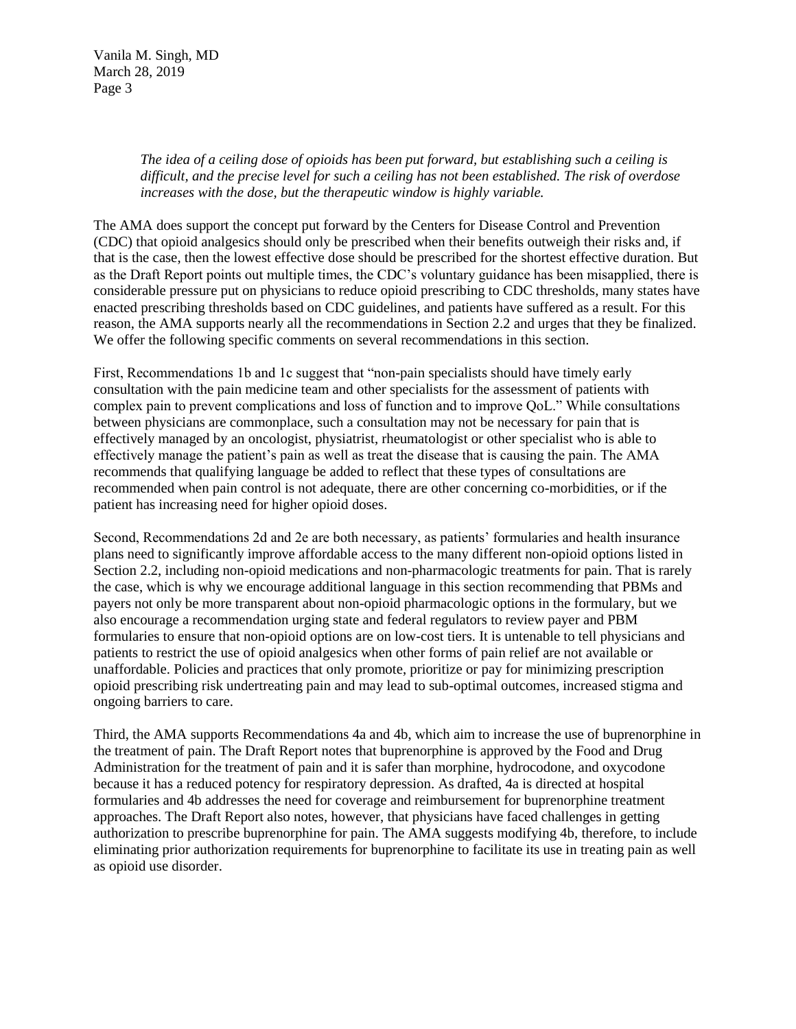> *The idea of a ceiling dose of opioids has been put forward, but establishing such a ceiling is difficult, and the precise level for such a ceiling has not been established. The risk of overdose increases with the dose, but the therapeutic window is highly variable.*

The AMA does support the concept put forward by the Centers for Disease Control and Prevention (CDC) that opioid analgesics should only be prescribed when their benefits outweigh their risks and, if that is the case, then the lowest effective dose should be prescribed for the shortest effective duration. But as the Draft Report points out multiple times, the CDC's voluntary guidance has been misapplied, there is considerable pressure put on physicians to reduce opioid prescribing to CDC thresholds, many states have enacted prescribing thresholds based on CDC guidelines, and patients have suffered as a result. For this reason, the AMA supports nearly all the recommendations in Section 2.2 and urges that they be finalized. We offer the following specific comments on several recommendations in this section.

First, Recommendations 1b and 1c suggest that "non-pain specialists should have timely early consultation with the pain medicine team and other specialists for the assessment of patients with complex pain to prevent complications and loss of function and to improve QoL." While consultations between physicians are commonplace, such a consultation may not be necessary for pain that is effectively managed by an oncologist, physiatrist, rheumatologist or other specialist who is able to effectively manage the patient's pain as well as treat the disease that is causing the pain. The AMA recommends that qualifying language be added to reflect that these types of consultations are recommended when pain control is not adequate, there are other concerning co-morbidities, or if the patient has increasing need for higher opioid doses.

Second, Recommendations 2d and 2e are both necessary, as patients' formularies and health insurance plans need to significantly improve affordable access to the many different non-opioid options listed in Section 2.2, including non-opioid medications and non-pharmacologic treatments for pain. That is rarely the case, which is why we encourage additional language in this section recommending that PBMs and payers not only be more transparent about non-opioid pharmacologic options in the formulary, but we also encourage a recommendation urging state and federal regulators to review payer and PBM formularies to ensure that non-opioid options are on low-cost tiers. It is untenable to tell physicians and patients to restrict the use of opioid analgesics when other forms of pain relief are not available or unaffordable. Policies and practices that only promote, prioritize or pay for minimizing prescription opioid prescribing risk undertreating pain and may lead to sub-optimal outcomes, increased stigma and ongoing barriers to care.

Third, the AMA supports Recommendations 4a and 4b, which aim to increase the use of buprenorphine in the treatment of pain. The Draft Report notes that buprenorphine is approved by the Food and Drug Administration for the treatment of pain and it is safer than morphine, hydrocodone, and oxycodone because it has a reduced potency for respiratory depression. As drafted, 4a is directed at hospital formularies and 4b addresses the need for coverage and reimbursement for buprenorphine treatment approaches. The Draft Report also notes, however, that physicians have faced challenges in getting authorization to prescribe buprenorphine for pain. The AMA suggests modifying 4b, therefore, to include eliminating prior authorization requirements for buprenorphine to facilitate its use in treating pain as well as opioid use disorder.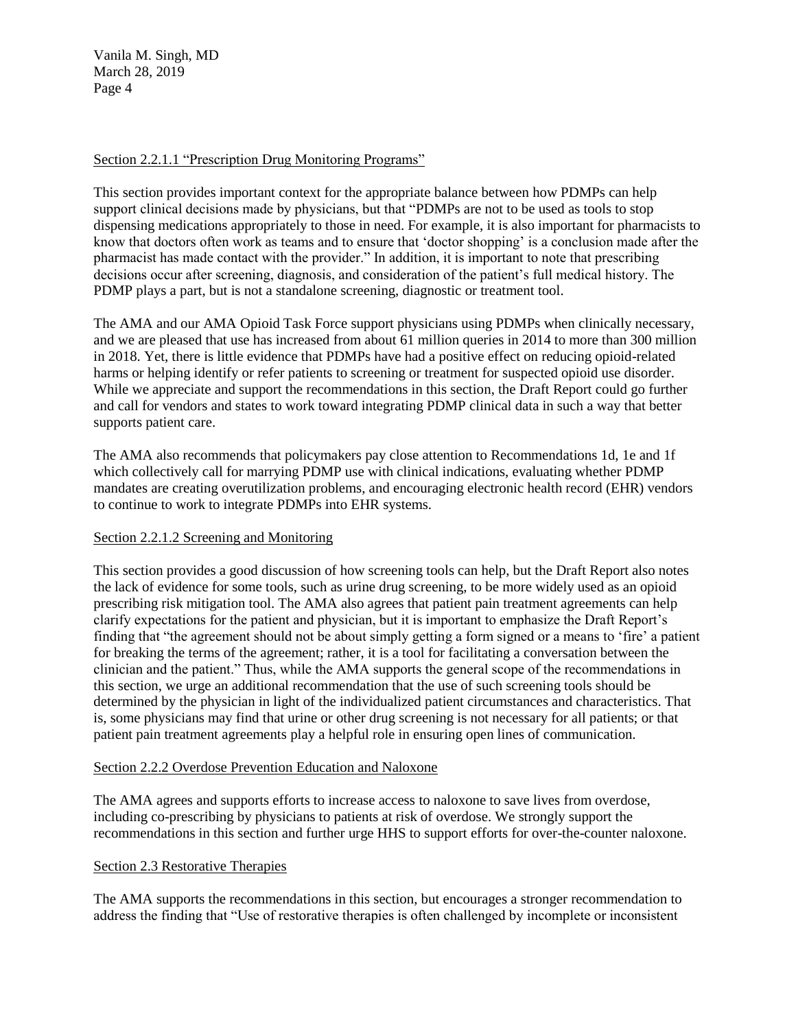# Section 2.2.1.1 "Prescription Drug Monitoring Programs"

This section provides important context for the appropriate balance between how PDMPs can help support clinical decisions made by physicians, but that "PDMPs are not to be used as tools to stop dispensing medications appropriately to those in need. For example, it is also important for pharmacists to know that doctors often work as teams and to ensure that 'doctor shopping' is a conclusion made after the pharmacist has made contact with the provider." In addition, it is important to note that prescribing decisions occur after screening, diagnosis, and consideration of the patient's full medical history. The PDMP plays a part, but is not a standalone screening, diagnostic or treatment tool.

The AMA and our AMA Opioid Task Force support physicians using PDMPs when clinically necessary, and we are pleased that use has increased from about 61 million queries in 2014 to more than 300 million in 2018. Yet, there is little evidence that PDMPs have had a positive effect on reducing opioid-related harms or helping identify or refer patients to screening or treatment for suspected opioid use disorder. While we appreciate and support the recommendations in this section, the Draft Report could go further and call for vendors and states to work toward integrating PDMP clinical data in such a way that better supports patient care.

The AMA also recommends that policymakers pay close attention to Recommendations 1d, 1e and 1f which collectively call for marrying PDMP use with clinical indications, evaluating whether PDMP mandates are creating overutilization problems, and encouraging electronic health record (EHR) vendors to continue to work to integrate PDMPs into EHR systems.

# Section 2.2.1.2 Screening and Monitoring

This section provides a good discussion of how screening tools can help, but the Draft Report also notes the lack of evidence for some tools, such as urine drug screening, to be more widely used as an opioid prescribing risk mitigation tool. The AMA also agrees that patient pain treatment agreements can help clarify expectations for the patient and physician, but it is important to emphasize the Draft Report's finding that "the agreement should not be about simply getting a form signed or a means to 'fire' a patient for breaking the terms of the agreement; rather, it is a tool for facilitating a conversation between the clinician and the patient." Thus, while the AMA supports the general scope of the recommendations in this section, we urge an additional recommendation that the use of such screening tools should be determined by the physician in light of the individualized patient circumstances and characteristics. That is, some physicians may find that urine or other drug screening is not necessary for all patients; or that patient pain treatment agreements play a helpful role in ensuring open lines of communication.

# Section 2.2.2 Overdose Prevention Education and Naloxone

The AMA agrees and supports efforts to increase access to naloxone to save lives from overdose, including co-prescribing by physicians to patients at risk of overdose. We strongly support the recommendations in this section and further urge HHS to support efforts for over-the-counter naloxone.

# Section 2.3 Restorative Therapies

The AMA supports the recommendations in this section, but encourages a stronger recommendation to address the finding that "Use of restorative therapies is often challenged by incomplete or inconsistent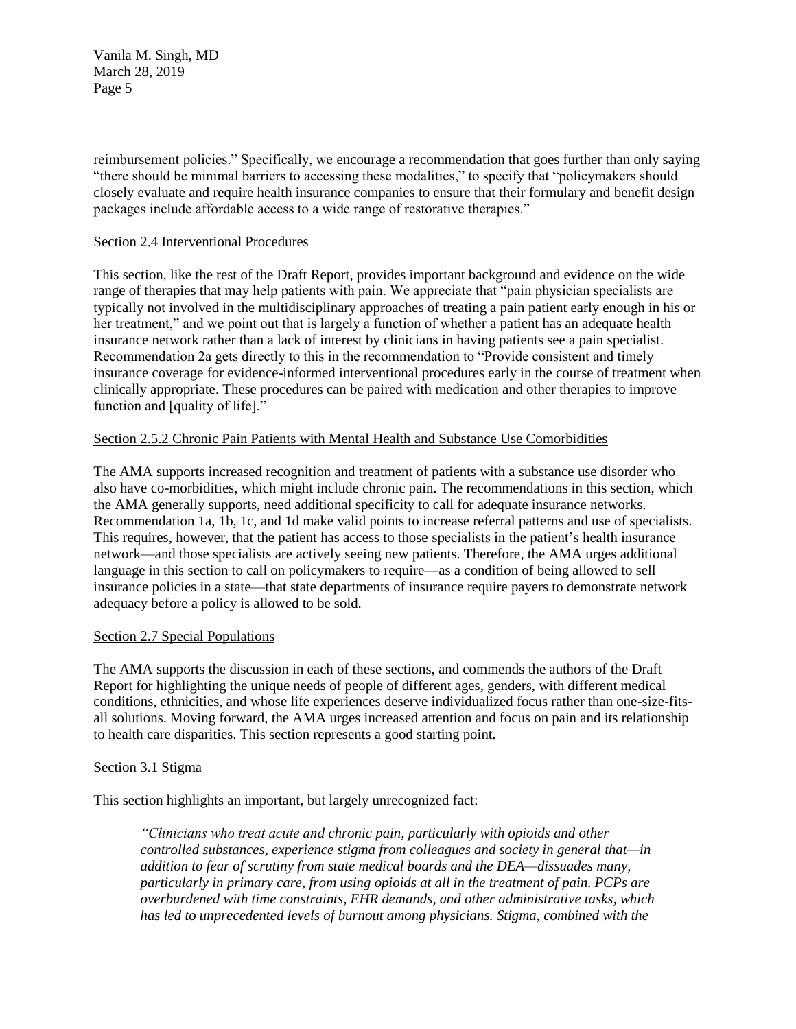reimbursement policies." Specifically, we encourage a recommendation that goes further than only saying "there should be minimal barriers to accessing these modalities," to specify that "policymakers should closely evaluate and require health insurance companies to ensure that their formulary and benefit design packages include affordable access to a wide range of restorative therapies."

#### Section 2.4 Interventional Procedures

This section, like the rest of the Draft Report, provides important background and evidence on the wide range of therapies that may help patients with pain. We appreciate that "pain physician specialists are typically not involved in the multidisciplinary approaches of treating a pain patient early enough in his or her treatment," and we point out that is largely a function of whether a patient has an adequate health insurance network rather than a lack of interest by clinicians in having patients see a pain specialist. Recommendation 2a gets directly to this in the recommendation to "Provide consistent and timely insurance coverage for evidence-informed interventional procedures early in the course of treatment when clinically appropriate. These procedures can be paired with medication and other therapies to improve function and [quality of life]."

# Section 2.5.2 Chronic Pain Patients with Mental Health and Substance Use Comorbidities

The AMA supports increased recognition and treatment of patients with a substance use disorder who also have co-morbidities, which might include chronic pain. The recommendations in this section, which the AMA generally supports, need additional specificity to call for adequate insurance networks. Recommendation 1a, 1b, 1c, and 1d make valid points to increase referral patterns and use of specialists. This requires, however, that the patient has access to those specialists in the patient's health insurance network—and those specialists are actively seeing new patients. Therefore, the AMA urges additional language in this section to call on policymakers to require—as a condition of being allowed to sell insurance policies in a state—that state departments of insurance require payers to demonstrate network adequacy before a policy is allowed to be sold.

# Section 2.7 Special Populations

The AMA supports the discussion in each of these sections, and commends the authors of the Draft Report for highlighting the unique needs of people of different ages, genders, with different medical conditions, ethnicities, and whose life experiences deserve individualized focus rather than one-size-fitsall solutions. Moving forward, the AMA urges increased attention and focus on pain and its relationship to health care disparities. This section represents a good starting point.

# Section 3.1 Stigma

This section highlights an important, but largely unrecognized fact:

*"Clinicians who treat acute and chronic pain, particularly with opioids and other controlled substances, experience stigma from colleagues and society in general that—in addition to fear of scrutiny from state medical boards and the DEA—dissuades many, particularly in primary care, from using opioids at all in the treatment of pain. PCPs are overburdened with time constraints, EHR demands, and other administrative tasks, which has led to unprecedented levels of burnout among physicians. Stigma, combined with the*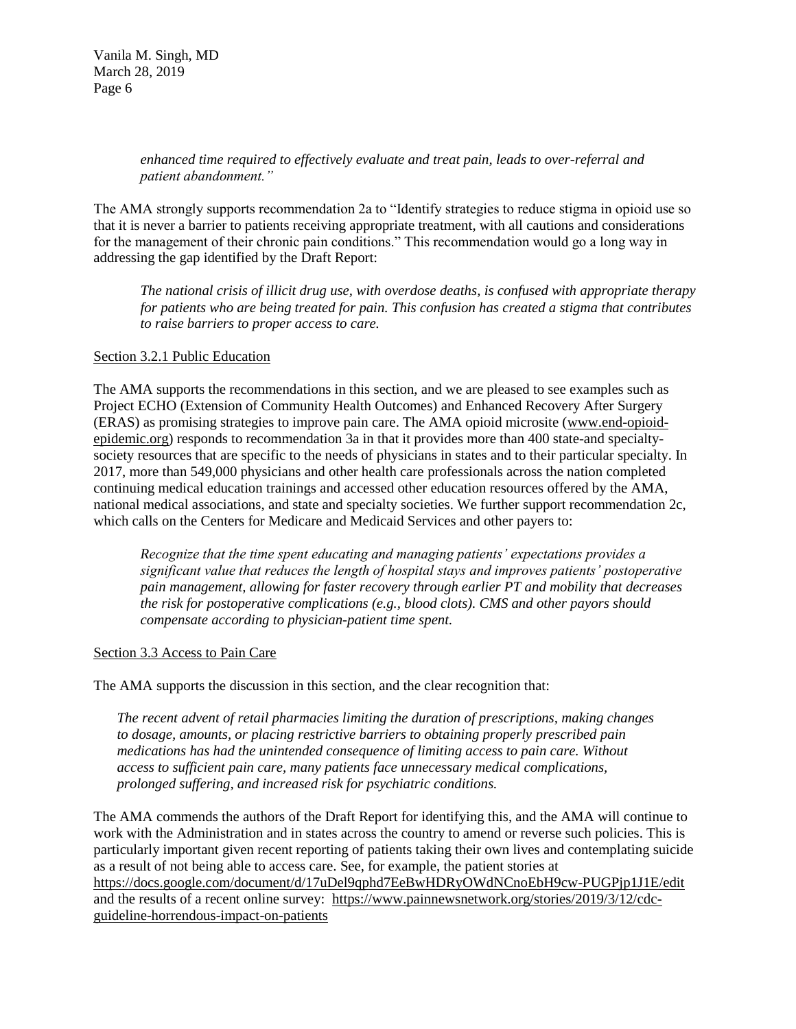*enhanced time required to effectively evaluate and treat pain, leads to over-referral and patient abandonment."*

The AMA strongly supports recommendation 2a to "Identify strategies to reduce stigma in opioid use so that it is never a barrier to patients receiving appropriate treatment, with all cautions and considerations for the management of their chronic pain conditions." This recommendation would go a long way in addressing the gap identified by the Draft Report:

*The national crisis of illicit drug use, with overdose deaths, is confused with appropriate therapy for patients who are being treated for pain. This confusion has created a stigma that contributes to raise barriers to proper access to care.*

#### Section 3.2.1 Public Education

The AMA supports the recommendations in this section, and we are pleased to see examples such as Project ECHO (Extension of Community Health Outcomes) and Enhanced Recovery After Surgery (ERAS) as promising strategies to improve pain care. The AMA opioid microsite [\(www.end-opioid](http://www.end-opioid-epidemic.org/)[epidemic.org\)](http://www.end-opioid-epidemic.org/) responds to recommendation 3a in that it provides more than 400 state-and specialtysociety resources that are specific to the needs of physicians in states and to their particular specialty. In 2017, more than 549,000 physicians and other health care professionals across the nation completed continuing medical education trainings and accessed other education resources offered by the AMA, national medical associations, and state and specialty societies. We further support recommendation 2c, which calls on the Centers for Medicare and Medicaid Services and other payers to:

*Recognize that the time spent educating and managing patients' expectations provides a significant value that reduces the length of hospital stays and improves patients' postoperative pain management, allowing for faster recovery through earlier PT and mobility that decreases the risk for postoperative complications (e.g., blood clots). CMS and other payors should compensate according to physician-patient time spent.*

#### Section 3.3 Access to Pain Care

The AMA supports the discussion in this section, and the clear recognition that:

*The recent advent of retail pharmacies limiting the duration of prescriptions, making changes to dosage, amounts, or placing restrictive barriers to obtaining properly prescribed pain medications has had the unintended consequence of limiting access to pain care. Without access to sufficient pain care, many patients face unnecessary medical complications, prolonged suffering, and increased risk for psychiatric conditions.*

The AMA commends the authors of the Draft Report for identifying this, and the AMA will continue to work with the Administration and in states across the country to amend or reverse such policies. This is particularly important given recent reporting of patients taking their own lives and contemplating suicide as a result of not being able to access care. See, for example, the patient stories at <https://docs.google.com/document/d/17uDel9qphd7EeBwHDRyOWdNCnoEbH9cw-PUGPjp1J1E/edit> and the results of a recent online survey: [https://www.painnewsnetwork.org/stories/2019/3/12/cdc](https://www.painnewsnetwork.org/stories/2019/3/12/cdc-guideline-horrendous-impact-on-patients)[guideline-horrendous-impact-on-patients](https://www.painnewsnetwork.org/stories/2019/3/12/cdc-guideline-horrendous-impact-on-patients)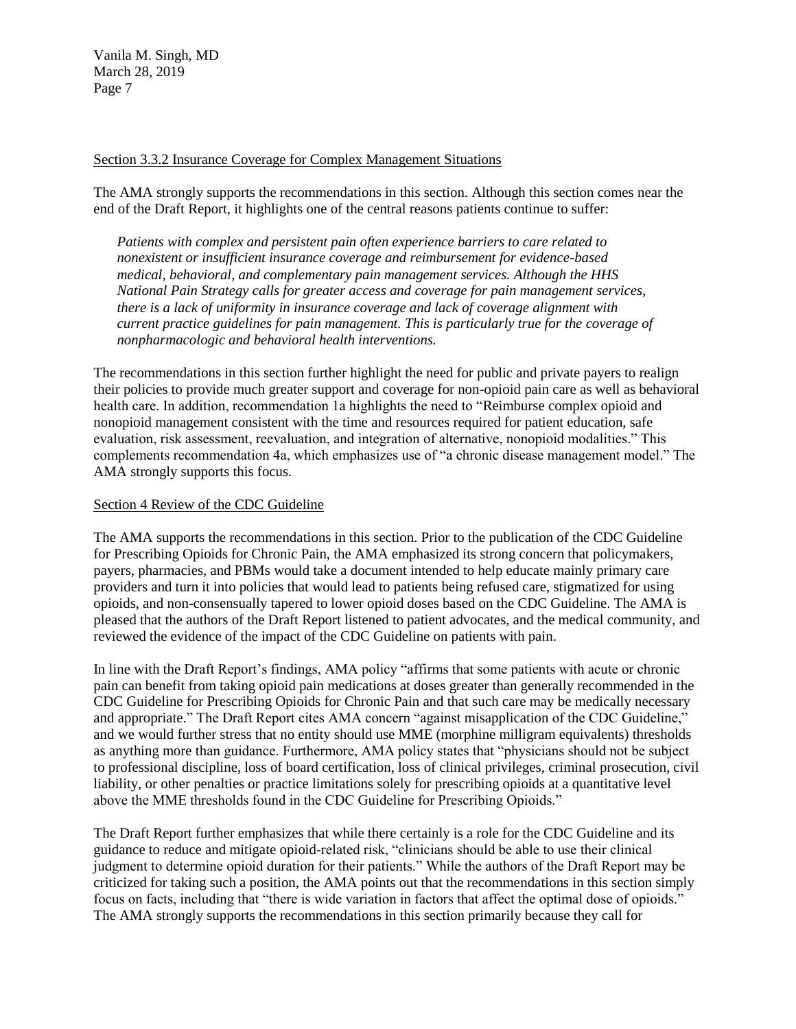#### Section 3.3.2 Insurance Coverage for Complex Management Situations

The AMA strongly supports the recommendations in this section. Although this section comes near the end of the Draft Report, it highlights one of the central reasons patients continue to suffer:

*Patients with complex and persistent pain often experience barriers to care related to nonexistent or insufficient insurance coverage and reimbursement for evidence-based medical, behavioral, and complementary pain management services. Although the HHS National Pain Strategy calls for greater access and coverage for pain management services, there is a lack of uniformity in insurance coverage and lack of coverage alignment with current practice guidelines for pain management. This is particularly true for the coverage of nonpharmacologic and behavioral health interventions.*

The recommendations in this section further highlight the need for public and private payers to realign their policies to provide much greater support and coverage for non-opioid pain care as well as behavioral health care. In addition, recommendation 1a highlights the need to "Reimburse complex opioid and nonopioid management consistent with the time and resources required for patient education, safe evaluation, risk assessment, reevaluation, and integration of alternative, nonopioid modalities." This complements recommendation 4a, which emphasizes use of "a chronic disease management model." The AMA strongly supports this focus.

#### Section 4 Review of the CDC Guideline

The AMA supports the recommendations in this section. Prior to the publication of the CDC Guideline for Prescribing Opioids for Chronic Pain, the AMA emphasized its strong concern that policymakers, payers, pharmacies, and PBMs would take a document intended to help educate mainly primary care providers and turn it into policies that would lead to patients being refused care, stigmatized for using opioids, and non-consensually tapered to lower opioid doses based on the CDC Guideline. The AMA is pleased that the authors of the Draft Report listened to patient advocates, and the medical community, and reviewed the evidence of the impact of the CDC Guideline on patients with pain.

In line with the Draft Report's findings, AMA policy "affirms that some patients with acute or chronic pain can benefit from taking opioid pain medications at doses greater than generally recommended in the CDC Guideline for Prescribing Opioids for Chronic Pain and that such care may be medically necessary and appropriate." The Draft Report cites AMA concern "against misapplication of the CDC Guideline," and we would further stress that no entity should use MME (morphine milligram equivalents) thresholds as anything more than guidance. Furthermore, AMA policy states that "physicians should not be subject to professional discipline, loss of board certification, loss of clinical privileges, criminal prosecution, civil liability, or other penalties or practice limitations solely for prescribing opioids at a quantitative level above the MME thresholds found in the CDC Guideline for Prescribing Opioids."

The Draft Report further emphasizes that while there certainly is a role for the CDC Guideline and its guidance to reduce and mitigate opioid-related risk, "clinicians should be able to use their clinical judgment to determine opioid duration for their patients." While the authors of the Draft Report may be criticized for taking such a position, the AMA points out that the recommendations in this section simply focus on facts, including that "there is wide variation in factors that affect the optimal dose of opioids." The AMA strongly supports the recommendations in this section primarily because they call for